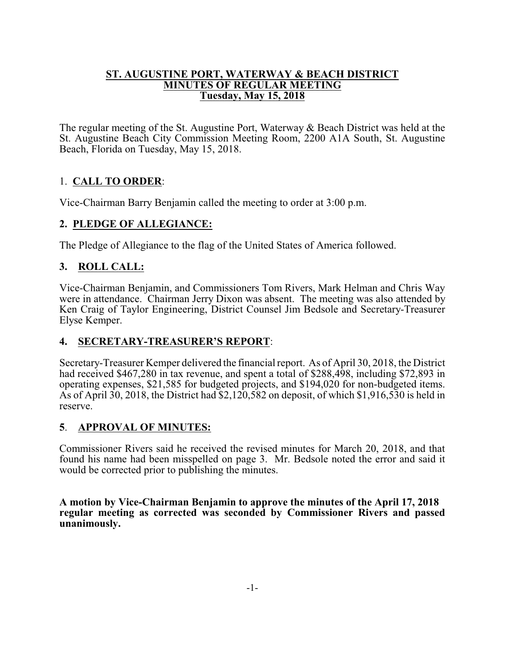#### **ST. AUGUSTINE PORT, WATERWAY & BEACH DISTRICT MINUTES OF REGULAR MEETING Tuesday, May 15, 2018**

The regular meeting of the St. Augustine Port, Waterway & Beach District was held at the St. Augustine Beach City Commission Meeting Room, 2200 A1A South, St. Augustine Beach, Florida on Tuesday, May 15, 2018.

# 1. **CALL TO ORDER**:

Vice-Chairman Barry Benjamin called the meeting to order at 3:00 p.m.

### **2. PLEDGE OF ALLEGIANCE:**

The Pledge of Allegiance to the flag of the United States of America followed.

### **3. ROLL CALL:**

Vice-Chairman Benjamin, and Commissioners Tom Rivers, Mark Helman and Chris Way were in attendance. Chairman Jerry Dixon was absent. The meeting was also attended by Ken Craig of Taylor Engineering, District Counsel Jim Bedsole and Secretary-Treasurer Elyse Kemper.

### **4. SECRETARY-TREASURER'S REPORT**:

Secretary-Treasurer Kemper delivered the financial report. As of April 30, 2018, the District had received \$467,280 in tax revenue, and spent a total of \$288,498, including \$72,893 in operating expenses, \$21,585 for budgeted projects, and \$194,020 for non-budgeted items. As of April 30, 2018, the District had \$2,120,582 on deposit, of which \$1,916,530 is held in reserve.

### **5**. **APPROVAL OF MINUTES:**

Commissioner Rivers said he received the revised minutes for March 20, 2018, and that found his name had been misspelled on page 3. Mr. Bedsole noted the error and said it would be corrected prior to publishing the minutes.

**A motion by Vice-Chairman Benjamin to approve the minutes of the April 17, 2018 regular meeting as corrected was seconded by Commissioner Rivers and passed unanimously.**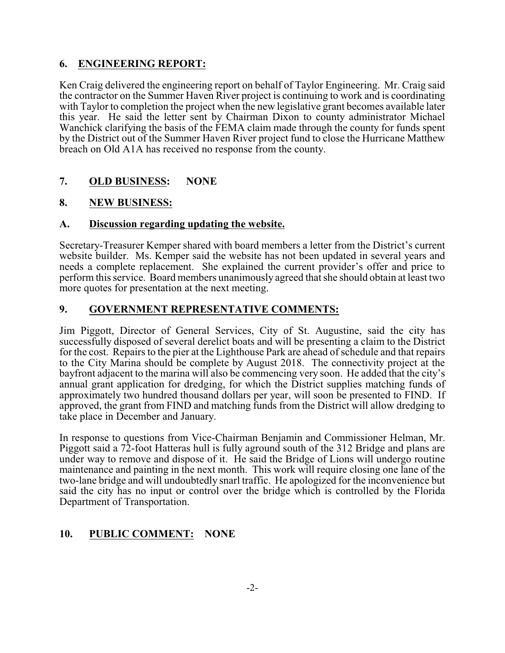### **6. ENGINEERING REPORT:**

Ken Craig delivered the engineering report on behalf of Taylor Engineering. Mr. Craig said the contractor on the Summer Haven River project is continuing to work and is coordinating with Taylor to completion the project when the new legislative grant becomes available later this year. He said the letter sent by Chairman Dixon to county administrator Michael Wanchick clarifying the basis of the FEMA claim made through the county for funds spent by the District out of the Summer Haven River project fund to close the Hurricane Matthew breach on Old A1A has received no response from the county.

### **7. OLD BUSINESS: NONE**

### **8. NEW BUSINESS:**

### **A. Discussion regarding updating the website.**

Secretary-Treasurer Kemper shared with board members a letter from the District's current website builder. Ms. Kemper said the website has not been updated in several years and needs a complete replacement. She explained the current provider's offer and price to perform this service. Board members unanimously agreed that she should obtain at least two more quotes for presentation at the next meeting.

### **9. GOVERNMENT REPRESENTATIVE COMMENTS:**

Jim Piggott, Director of General Services, City of St. Augustine, said the city has successfully disposed of several derelict boats and will be presenting a claim to the District for the cost. Repairs to the pier at the Lighthouse Park are ahead of schedule and that repairs to the City Marina should be complete by August 2018. The connectivity project at the bayfront adjacent to the marina will also be commencing very soon. He added that the city's annual grant application for dredging, for which the District supplies matching funds of approximately two hundred thousand dollars per year, will soon be presented to FIND. If approved, the grant from FIND and matching funds from the District will allow dredging to take place in December and January.

In response to questions from Vice-Chairman Benjamin and Commissioner Helman, Mr. Piggott said a 72-foot Hatteras hull is fully aground south of the 312 Bridge and plans are under way to remove and dispose of it. He said the Bridge of Lions will undergo routine maintenance and painting in the next month. This work will require closing one lane of the two-lane bridge and will undoubtedly snarl traffic. He apologized for the inconvenience but said the city has no input or control over the bridge which is controlled by the Florida Department of Transportation.

# **10. PUBLIC COMMENT: NONE**